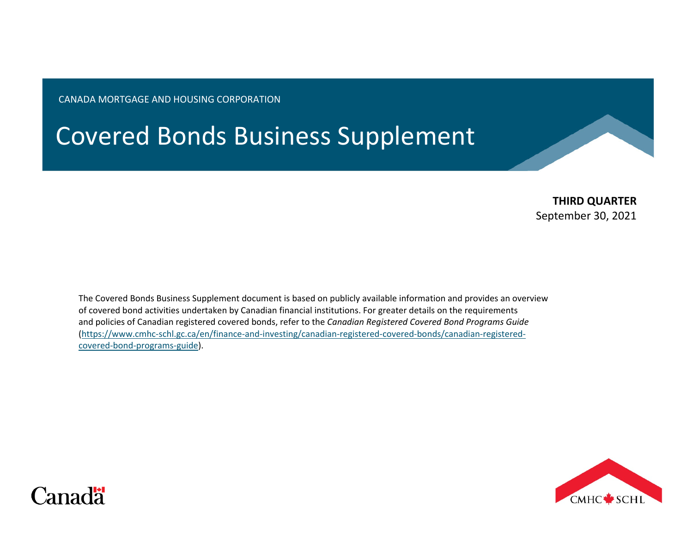CANADA MORTGAGE AND HOUSING CORPORATION

# Covered Bonds Business Supplement

**THIRD QUARTER** September 30, 2021

The Covered Bonds Business Supplement document is based on publicly available information and provides an overview of covered bond activities undertaken by Canadian financial institutions. For greater details on the requirements and policies of Canadian registered covered bonds, refer to the *Canadian Registered Covered Bond Programs Guide* [\(https://www.cmhc-schl.gc.ca/en/finance-and-investing/canadian-registered-covered-bonds/canadian-registered](https://www.cmhc-schl.gc.ca/en/finance-and-investing/canadian-registered-covered-bonds/canadian-registered-covered-bond-programs-guide)[covered-bond-programs-guide\)](https://www.cmhc-schl.gc.ca/en/finance-and-investing/canadian-registered-covered-bonds/canadian-registered-covered-bond-programs-guide).



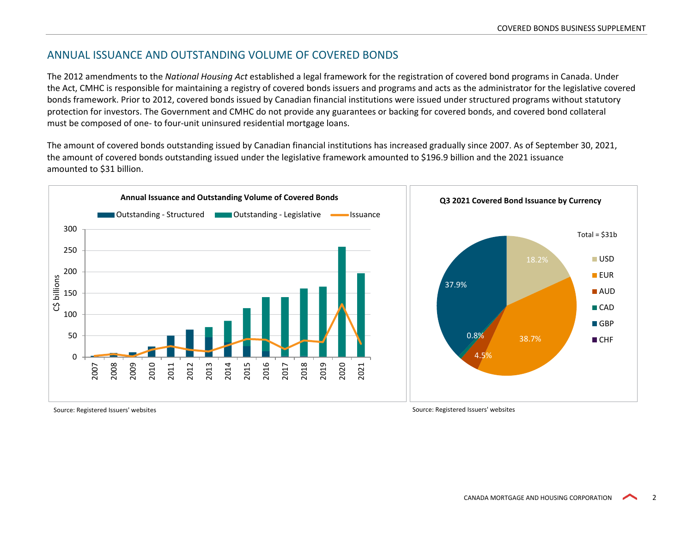## ANNUAL ISSUANCE AND OUTSTANDING VOLUME OF COVERED BONDS

The 2012 amendments to the *National Housing Act* established a legal framework for the registration of covered bond programs in Canada. Under the Act, CMHC is responsible for maintaining a registry of covered bonds issuers and programs and acts as the administrator for the legislative covered bonds framework. Prior to 2012, covered bonds issued by Canadian financial institutions were issued under structured programs without statutory protection for investors. The Government and CMHC do not provide any guarantees or backing for covered bonds, and covered bond collateral must be composed of one- to four-unit uninsured residential mortgage loans.

The amount of covered bonds outstanding issued by Canadian financial institutions has increased gradually since 2007. As of September 30, 2021, the amount of covered bonds outstanding issued under the legislative framework amounted to \$196.9 billion and the 2021 issuance amounted to \$31 billion.



Source: Registered Issuers' websites Source: Registered Issuers' websites Source: Registered Issuers' websites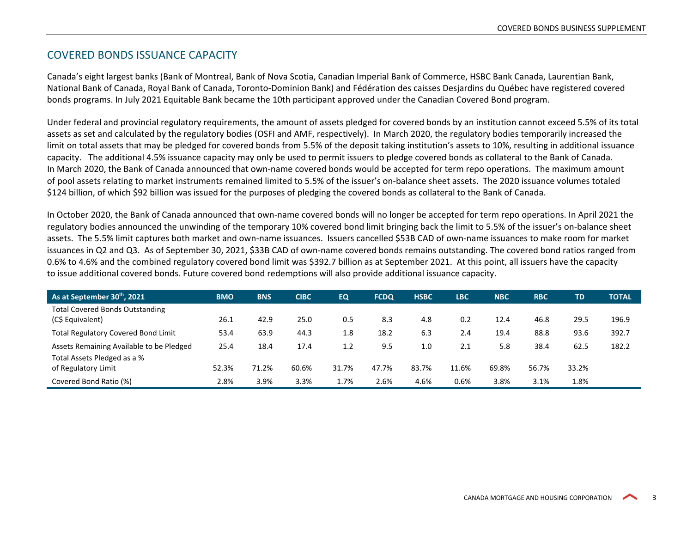## COVERED BONDS ISSUANCE CAPACITY

Canada's eight largest banks (Bank of Montreal, Bank of Nova Scotia, Canadian Imperial Bank of Commerce, HSBC Bank Canada, Laurentian Bank, National Bank of Canada, Royal Bank of Canada, Toronto-Dominion Bank) and Fédération des caisses Desjardins du Québec have registered covered bonds programs. In July 2021 Equitable Bank became the 10th participant approved under the Canadian Covered Bond program.

Under federal and provincial regulatory requirements, the amount of assets pledged for covered bonds by an institution cannot exceed 5.5% of its total assets as set and calculated by the regulatory bodies (OSFI and AMF, respectively). In March 2020, the regulatory bodies temporarily increased the limit on total assets that may be pledged for covered bonds from 5.5% of the deposit taking institution's assets to 10%, resulting in additional issuance capacity. The additional 4.5% issuance capacity may only be used to permit issuers to pledge covered bonds as collateral to the Bank of Canada. In March 2020, the Bank of Canada announced that own-name covered bonds would be accepted for term repo operations. The maximum amount of pool assets relating to market instruments remained limited to 5.5% of the issuer's on-balance sheet assets. The 2020 issuance volumes totaled \$124 billion, of which \$92 billion was issued for the purposes of pledging the covered bonds as collateral to the Bank of Canada.

In October 2020, the Bank of Canada announced that own-name covered bonds will no longer be accepted for term repo operations. In April 2021 the regulatory bodies announced the unwinding of the temporary 10% covered bond limit bringing back the limit to 5.5% of the issuer's on-balance sheet assets. The 5.5% limit captures both market and own-name issuances. Issuers cancelled \$53B CAD of own-name issuances to make room for market issuances in Q2 and Q3. As of September 30, 2021, \$33B CAD of own-name covered bonds remains outstanding. The covered bond ratios ranged from 0.6% to 4.6% and the combined regulatory covered bond limit was \$392.7 billion as at September 2021. At this point, all issuers have the capacity to issue additional covered bonds. Future covered bond redemptions will also provide additional issuance capacity.

| As at September 30th, 2021                 | <b>BMO</b> | <b>BNS</b> | <b>CIBC</b> | <b>EQ</b> | <b>FCDQ</b> | <b>HSBC</b> | <b>LBC</b> | <b>NBC</b> | <b>RBC</b> | TD    | <b>TOTAL</b> |
|--------------------------------------------|------------|------------|-------------|-----------|-------------|-------------|------------|------------|------------|-------|--------------|
| <b>Total Covered Bonds Outstanding</b>     |            |            |             |           |             |             |            |            |            |       |              |
| (C\$ Equivalent)                           | 26.1       | 42.9       | 25.0        | 0.5       | 8.3         | 4.8         | 0.2        | 12.4       | 46.8       | 29.5  | 196.9        |
| <b>Total Regulatory Covered Bond Limit</b> | 53.4       | 63.9       | 44.3        | 1.8       | 18.2        | 6.3         | 2.4        | 19.4       | 88.8       | 93.6  | 392.7        |
| Assets Remaining Available to be Pledged   | 25.4       | 18.4       | 17.4        | 1.2       | 9.5         | 1.0         | 2.1        | 5.8        | 38.4       | 62.5  | 182.2        |
| Total Assets Pledged as a %                |            |            |             |           |             |             |            |            |            |       |              |
| of Regulatory Limit                        | 52.3%      | 71.2%      | 60.6%       | 31.7%     | 47.7%       | 83.7%       | 11.6%      | 69.8%      | 56.7%      | 33.2% |              |
| Covered Bond Ratio (%)                     | 2.8%       | 3.9%       | 3.3%        | 1.7%      | 2.6%        | 4.6%        | 0.6%       | 3.8%       | 3.1%       | 1.8%  |              |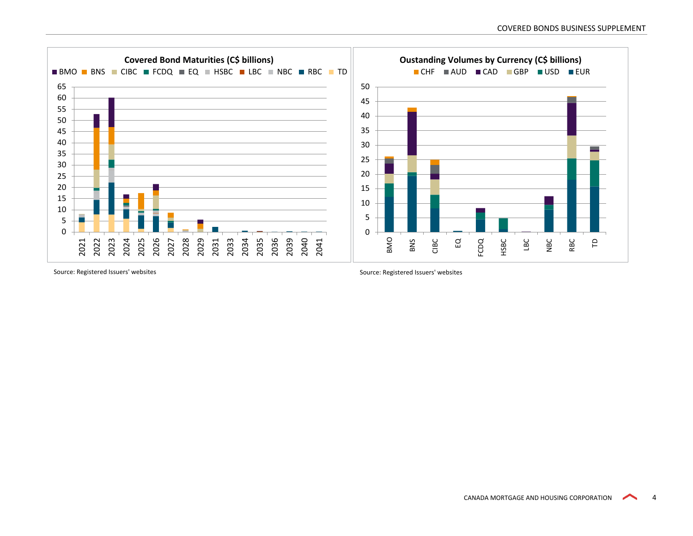

Source: Registered Issuers' websites Source: Registered Issuers' websites Source: Registered Issuers' websites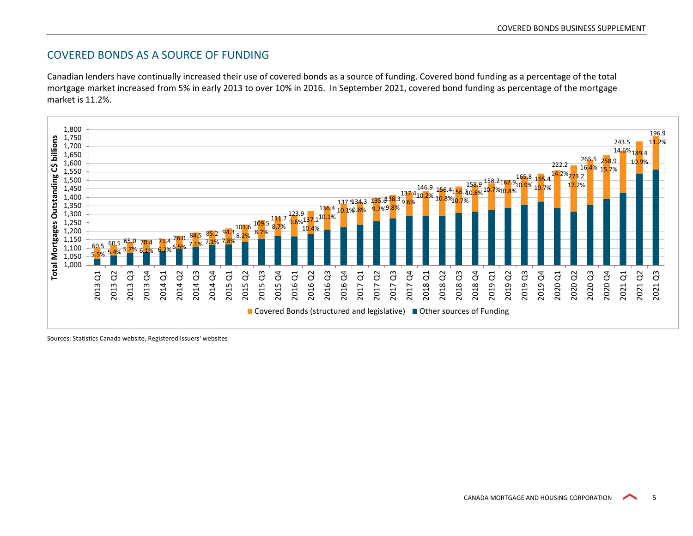## COVERED BONDS AS A SOURCE OF FUNDING

Canadian lenders have continually increased their use of covered bonds as a source of funding. Covered bond funding as a percentage of the total mortgage market increased from 5% in early 2013 to over 10% in 2016. In September 2021, covered bond funding as percentage of the mortgage market is 11.2%.



Sources: Statistics Canada website, Registered Issuers' websites